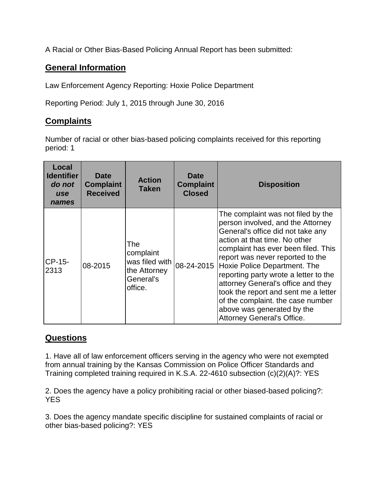A Racial or Other Bias-Based Policing Annual Report has been submitted:

## **General Information**

Law Enforcement Agency Reporting: Hoxie Police Department

Reporting Period: July 1, 2015 through June 30, 2016

## **Complaints**

Number of racial or other bias-based policing complaints received for this reporting period: 1

| Local<br><b>Identifier</b><br>do not<br>use<br>names | <b>Date</b><br><b>Complaint</b><br><b>Received</b> | <b>Action</b><br><b>Taken</b>                                              | <b>Date</b><br><b>Complaint</b><br><b>Closed</b> | <b>Disposition</b>                                                                                                                                                                                                                                                                                                                                                                                                                                                               |
|------------------------------------------------------|----------------------------------------------------|----------------------------------------------------------------------------|--------------------------------------------------|----------------------------------------------------------------------------------------------------------------------------------------------------------------------------------------------------------------------------------------------------------------------------------------------------------------------------------------------------------------------------------------------------------------------------------------------------------------------------------|
| CP-15-<br>2313                                       | 08-2015                                            | The<br>complaint<br>was filed with<br>the Attorney<br>General's<br>office. | 08-24-2015                                       | The complaint was not filed by the<br>person involved, and the Attorney<br>General's office did not take any<br>action at that time. No other<br>complaint has ever been filed. This<br>report was never reported to the<br>Hoxie Police Department. The<br>reporting party wrote a letter to the<br>attorney General's office and they<br>took the report and sent me a letter<br>of the complaint. the case number<br>above was generated by the<br>Attorney General's Office. |

## **Questions**

1. Have all of law enforcement officers serving in the agency who were not exempted from annual training by the Kansas Commission on Police Officer Standards and Training completed training required in K.S.A. 22-4610 subsection (c)(2)(A)?: YES

2. Does the agency have a policy prohibiting racial or other biased-based policing?: **YES** 

3. Does the agency mandate specific discipline for sustained complaints of racial or other bias-based policing?: YES